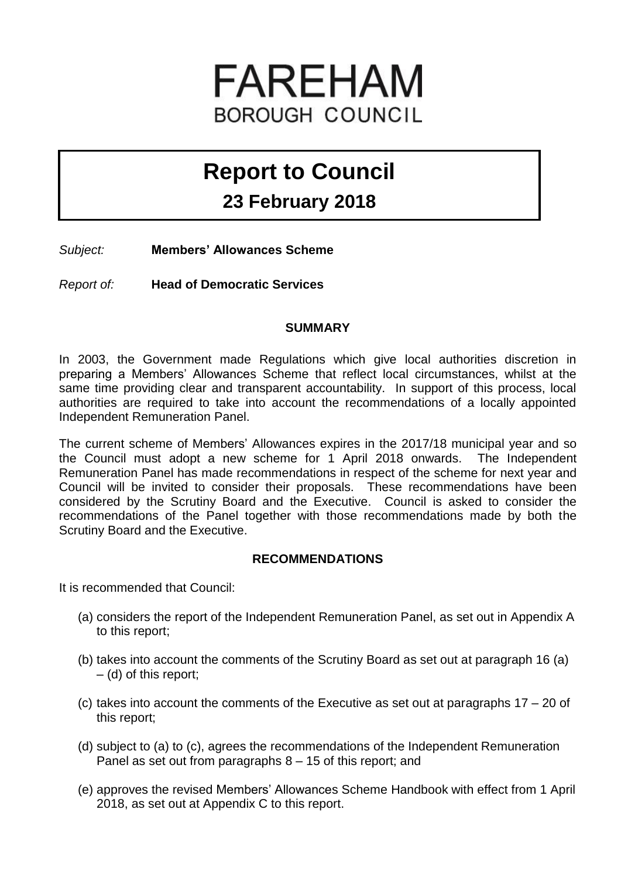# FAREHAM **BOROUGH COUNCIL**

## **Report to Council**

### **23 February 2018**

*Subject:* **Members' Allowances Scheme**

*Report of:* **Head of Democratic Services**

#### **SUMMARY**

In 2003, the Government made Regulations which give local authorities discretion in preparing a Members' Allowances Scheme that reflect local circumstances, whilst at the same time providing clear and transparent accountability. In support of this process, local authorities are required to take into account the recommendations of a locally appointed Independent Remuneration Panel.

The current scheme of Members' Allowances expires in the 2017/18 municipal year and so the Council must adopt a new scheme for 1 April 2018 onwards. The Independent Remuneration Panel has made recommendations in respect of the scheme for next year and Council will be invited to consider their proposals. These recommendations have been considered by the Scrutiny Board and the Executive. Council is asked to consider the recommendations of the Panel together with those recommendations made by both the Scrutiny Board and the Executive.

#### **RECOMMENDATIONS**

It is recommended that Council:

- (a) considers the report of the Independent Remuneration Panel, as set out in Appendix A to this report;
- (b) takes into account the comments of the Scrutiny Board as set out at paragraph 16 (a) – (d) of this report;
- (c) takes into account the comments of the Executive as set out at paragraphs 17 20 of this report;
- (d) subject to (a) to (c), agrees the recommendations of the Independent Remuneration Panel as set out from paragraphs 8 – 15 of this report; and
- (e) approves the revised Members' Allowances Scheme Handbook with effect from 1 April 2018, as set out at Appendix C to this report.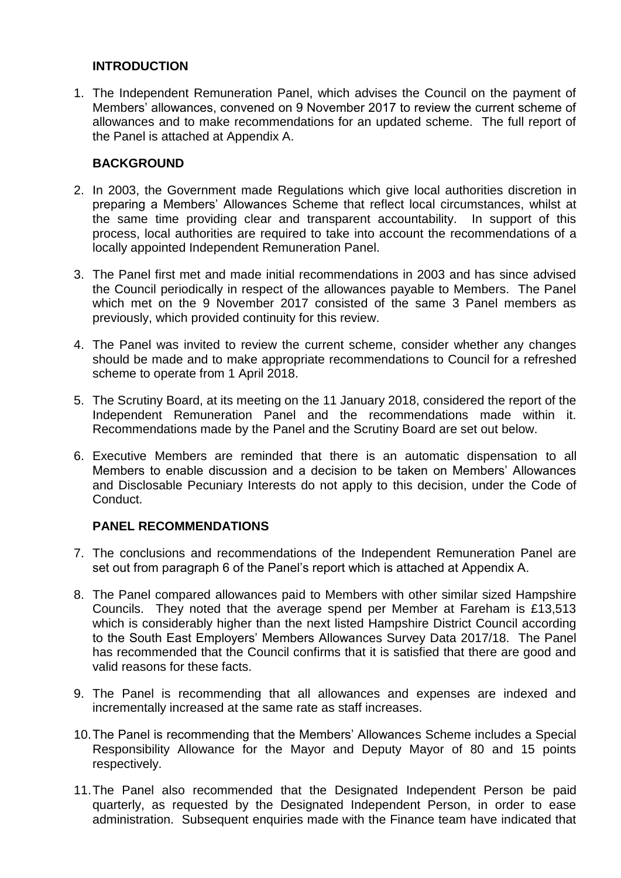#### **INTRODUCTION**

1. The Independent Remuneration Panel, which advises the Council on the payment of Members' allowances, convened on 9 November 2017 to review the current scheme of allowances and to make recommendations for an updated scheme. The full report of the Panel is attached at Appendix A.

#### **BACKGROUND**

- 2. In 2003, the Government made Regulations which give local authorities discretion in preparing a Members' Allowances Scheme that reflect local circumstances, whilst at the same time providing clear and transparent accountability. In support of this process, local authorities are required to take into account the recommendations of a locally appointed Independent Remuneration Panel.
- 3. The Panel first met and made initial recommendations in 2003 and has since advised the Council periodically in respect of the allowances payable to Members. The Panel which met on the 9 November 2017 consisted of the same 3 Panel members as previously, which provided continuity for this review.
- 4. The Panel was invited to review the current scheme, consider whether any changes should be made and to make appropriate recommendations to Council for a refreshed scheme to operate from 1 April 2018.
- 5. The Scrutiny Board, at its meeting on the 11 January 2018, considered the report of the Independent Remuneration Panel and the recommendations made within it. Recommendations made by the Panel and the Scrutiny Board are set out below.
- 6. Executive Members are reminded that there is an automatic dispensation to all Members to enable discussion and a decision to be taken on Members' Allowances and Disclosable Pecuniary Interests do not apply to this decision, under the Code of Conduct.

#### **PANEL RECOMMENDATIONS**

- 7. The conclusions and recommendations of the Independent Remuneration Panel are set out from paragraph 6 of the Panel's report which is attached at Appendix A.
- 8. The Panel compared allowances paid to Members with other similar sized Hampshire Councils. They noted that the average spend per Member at Fareham is £13,513 which is considerably higher than the next listed Hampshire District Council according to the South East Employers' Members Allowances Survey Data 2017/18. The Panel has recommended that the Council confirms that it is satisfied that there are good and valid reasons for these facts.
- 9. The Panel is recommending that all allowances and expenses are indexed and incrementally increased at the same rate as staff increases.
- 10.The Panel is recommending that the Members' Allowances Scheme includes a Special Responsibility Allowance for the Mayor and Deputy Mayor of 80 and 15 points respectively.
- 11.The Panel also recommended that the Designated Independent Person be paid quarterly, as requested by the Designated Independent Person, in order to ease administration. Subsequent enquiries made with the Finance team have indicated that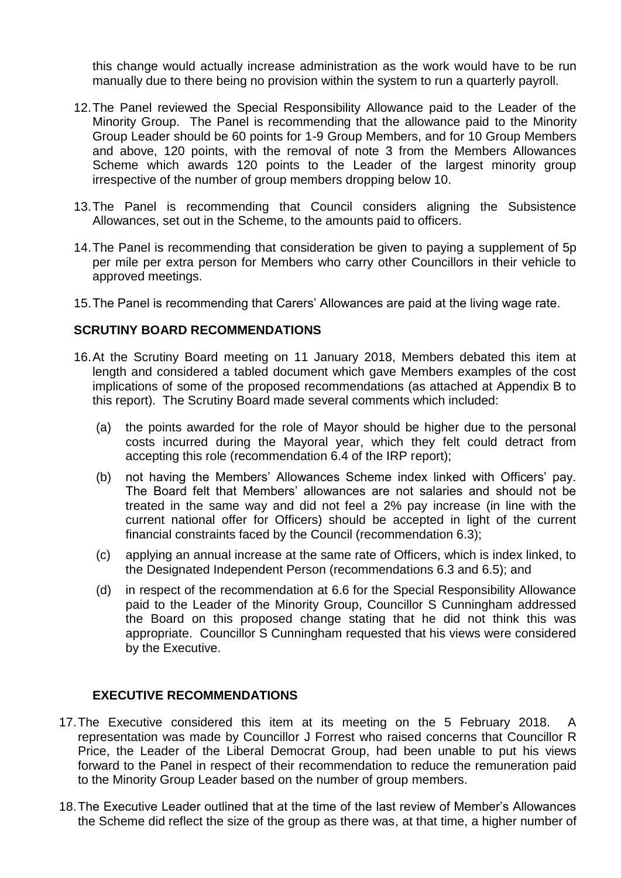this change would actually increase administration as the work would have to be run manually due to there being no provision within the system to run a quarterly payroll.

- 12.The Panel reviewed the Special Responsibility Allowance paid to the Leader of the Minority Group. The Panel is recommending that the allowance paid to the Minority Group Leader should be 60 points for 1-9 Group Members, and for 10 Group Members and above, 120 points, with the removal of note 3 from the Members Allowances Scheme which awards 120 points to the Leader of the largest minority group irrespective of the number of group members dropping below 10.
- 13.The Panel is recommending that Council considers aligning the Subsistence Allowances, set out in the Scheme, to the amounts paid to officers.
- 14.The Panel is recommending that consideration be given to paying a supplement of 5p per mile per extra person for Members who carry other Councillors in their vehicle to approved meetings.
- 15.The Panel is recommending that Carers' Allowances are paid at the living wage rate.

#### **SCRUTINY BOARD RECOMMENDATIONS**

- 16.At the Scrutiny Board meeting on 11 January 2018, Members debated this item at length and considered a tabled document which gave Members examples of the cost implications of some of the proposed recommendations (as attached at Appendix B to this report). The Scrutiny Board made several comments which included:
	- (a) the points awarded for the role of Mayor should be higher due to the personal costs incurred during the Mayoral year, which they felt could detract from accepting this role (recommendation 6.4 of the IRP report);
	- (b) not having the Members' Allowances Scheme index linked with Officers' pay. The Board felt that Members' allowances are not salaries and should not be treated in the same way and did not feel a 2% pay increase (in line with the current national offer for Officers) should be accepted in light of the current financial constraints faced by the Council (recommendation 6.3);
	- (c) applying an annual increase at the same rate of Officers, which is index linked, to the Designated Independent Person (recommendations 6.3 and 6.5); and
	- (d) in respect of the recommendation at 6.6 for the Special Responsibility Allowance paid to the Leader of the Minority Group, Councillor S Cunningham addressed the Board on this proposed change stating that he did not think this was appropriate. Councillor S Cunningham requested that his views were considered by the Executive.

#### **EXECUTIVE RECOMMENDATIONS**

- 17. The Executive considered this item at its meeting on the 5 February 2018. representation was made by Councillor J Forrest who raised concerns that Councillor R Price, the Leader of the Liberal Democrat Group, had been unable to put his views forward to the Panel in respect of their recommendation to reduce the remuneration paid to the Minority Group Leader based on the number of group members.
- 18.The Executive Leader outlined that at the time of the last review of Member's Allowances the Scheme did reflect the size of the group as there was, at that time, a higher number of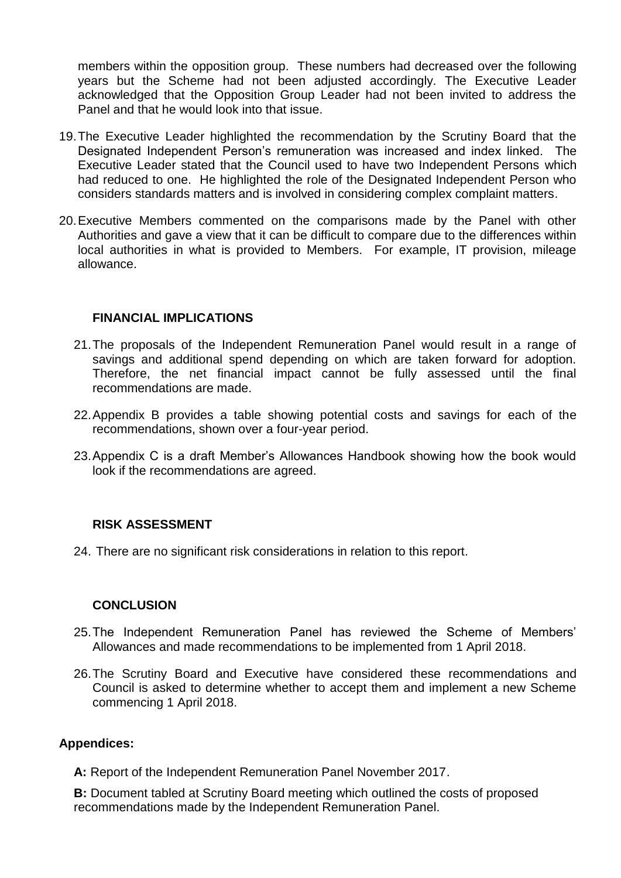members within the opposition group. These numbers had decreased over the following years but the Scheme had not been adjusted accordingly. The Executive Leader acknowledged that the Opposition Group Leader had not been invited to address the Panel and that he would look into that issue.

- 19.The Executive Leader highlighted the recommendation by the Scrutiny Board that the Designated Independent Person's remuneration was increased and index linked. The Executive Leader stated that the Council used to have two Independent Persons which had reduced to one. He highlighted the role of the Designated Independent Person who considers standards matters and is involved in considering complex complaint matters.
- 20.Executive Members commented on the comparisons made by the Panel with other Authorities and gave a view that it can be difficult to compare due to the differences within local authorities in what is provided to Members. For example, IT provision, mileage allowance.

#### **FINANCIAL IMPLICATIONS**

- 21.The proposals of the Independent Remuneration Panel would result in a range of savings and additional spend depending on which are taken forward for adoption. Therefore, the net financial impact cannot be fully assessed until the final recommendations are made.
- 22.Appendix B provides a table showing potential costs and savings for each of the recommendations, shown over a four-year period.
- 23.Appendix C is a draft Member's Allowances Handbook showing how the book would look if the recommendations are agreed.

#### **RISK ASSESSMENT**

24. There are no significant risk considerations in relation to this report.

#### **CONCLUSION**

- 25.The Independent Remuneration Panel has reviewed the Scheme of Members' Allowances and made recommendations to be implemented from 1 April 2018.
- 26.The Scrutiny Board and Executive have considered these recommendations and Council is asked to determine whether to accept them and implement a new Scheme commencing 1 April 2018.

#### **Appendices:**

**A:** Report of the Independent Remuneration Panel November 2017.

**B:** Document tabled at Scrutiny Board meeting which outlined the costs of proposed recommendations made by the Independent Remuneration Panel.